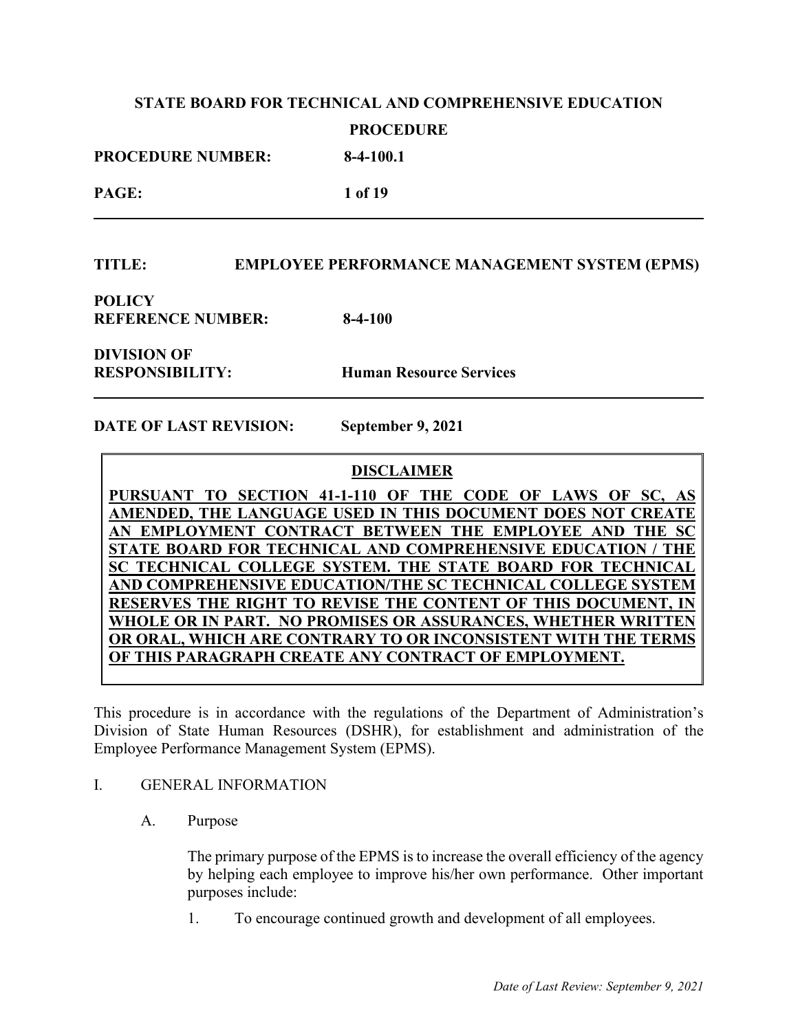**PROCEDURE NUMBER: 8-4-100.1**

**PAGE: 1 of 19**

### **TITLE: EMPLOYEE PERFORMANCE MANAGEMENT SYSTEM (EPMS)**

**POLICY REFERENCE NUMBER: 8-4-100**

**DIVISION OF** 

**RESPONSIBILITY: Human Resource Services**

**DATE OF LAST REVISION: September 9, 2021**

### **DISCLAIMER**

**PURSUANT TO SECTION 41-1-110 OF THE CODE OF LAWS OF SC, AMENDED, THE LANGUAGE USED IN THIS DOCUMENT DOES NOT CREATE AN EMPLOYMENT CONTRACT BETWEEN THE EMPLOYEE AND THE SC STATE BOARD FOR TECHNICAL AND COMPREHENSIVE EDUCATION / THE SC TECHNICAL COLLEGE SYSTEM. THE STATE BOARD FOR TECHNICAL AND COMPREHENSIVE EDUCATION/THE SC TECHNICAL COLLEGE SYSTEM RESERVES THE RIGHT TO REVISE THE CONTENT OF THIS DOCUMENT, IN WHOLE OR IN PART. NO PROMISES OR ASSURANCES, WHETHER WRITTEN OR ORAL, WHICH ARE CONTRARY TO OR INCONSISTENT WITH THE TERMS OF THIS PARAGRAPH CREATE ANY CONTRACT OF EMPLOYMENT.**

This procedure is in accordance with the regulations of the Department of Administration's Division of State Human Resources (DSHR), for establishment and administration of the Employee Performance Management System (EPMS).

### I. GENERAL INFORMATION

A. Purpose

The primary purpose of the EPMS is to increase the overall efficiency of the agency by helping each employee to improve his/her own performance. Other important purposes include:

1. To encourage continued growth and development of all employees.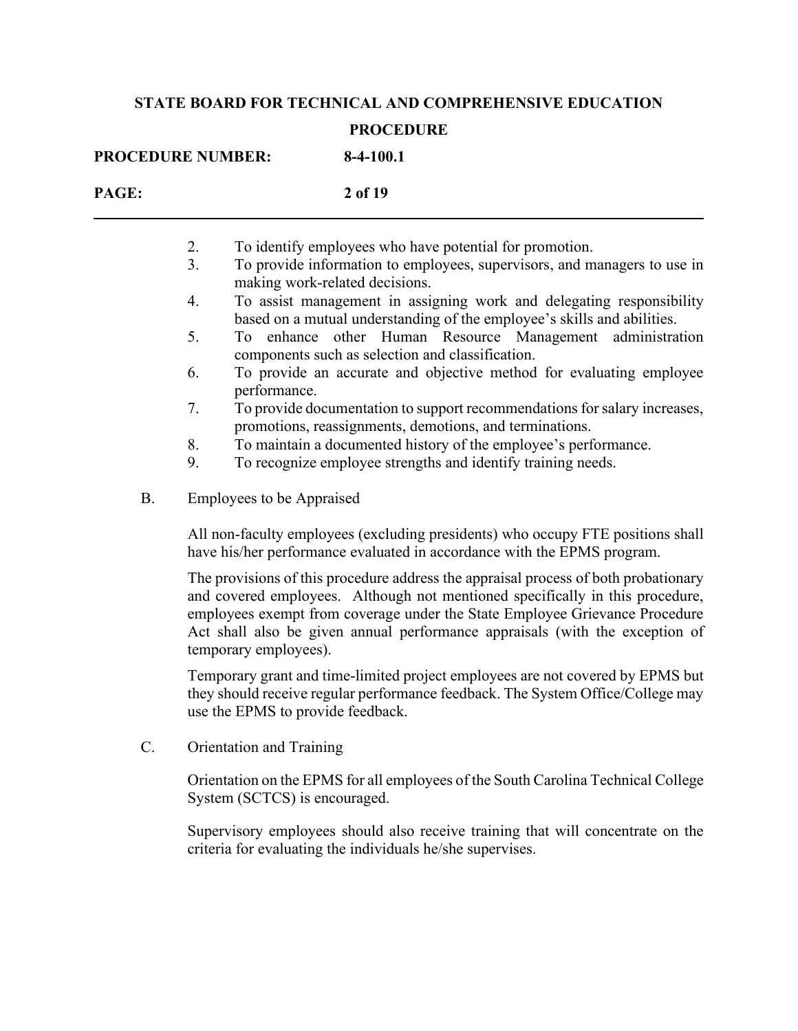|                 | <b>PROCEDURE NUMBER:</b><br>$8-4-100.1$                                                                                                                                                                                                                                                                                                                      |
|-----------------|--------------------------------------------------------------------------------------------------------------------------------------------------------------------------------------------------------------------------------------------------------------------------------------------------------------------------------------------------------------|
| PAGE:           | 2 of 19                                                                                                                                                                                                                                                                                                                                                      |
|                 | 2.<br>To identify employees who have potential for promotion.                                                                                                                                                                                                                                                                                                |
|                 | 3.<br>To provide information to employees, supervisors, and managers to use in<br>making work-related decisions.                                                                                                                                                                                                                                             |
|                 | To assist management in assigning work and delegating responsibility<br>4.<br>based on a mutual understanding of the employee's skills and abilities.                                                                                                                                                                                                        |
|                 | 5.<br>enhance other Human Resource Management administration<br>To<br>components such as selection and classification.                                                                                                                                                                                                                                       |
|                 | 6.<br>To provide an accurate and objective method for evaluating employee<br>performance.                                                                                                                                                                                                                                                                    |
|                 | 7.<br>To provide documentation to support recommendations for salary increases,<br>promotions, reassignments, demotions, and terminations.                                                                                                                                                                                                                   |
|                 | To maintain a documented history of the employee's performance.<br>8.                                                                                                                                                                                                                                                                                        |
|                 | 9.<br>To recognize employee strengths and identify training needs.                                                                                                                                                                                                                                                                                           |
| <b>B.</b>       | <b>Employees to be Appraised</b>                                                                                                                                                                                                                                                                                                                             |
|                 | All non-faculty employees (excluding presidents) who occupy FTE positions shall<br>have his/her performance evaluated in accordance with the EPMS program.                                                                                                                                                                                                   |
|                 | The provisions of this procedure address the appraisal process of both probationary<br>and covered employees. Although not mentioned specifically in this procedure,<br>employees exempt from coverage under the State Employee Grievance Procedure<br>Act shall also be given annual performance appraisals (with the exception of<br>temporary employees). |
|                 | Temporary grant and time-limited project employees are not covered by EPMS but<br>they should receive regular performance feedback. The System Office/College may<br>use the EPMS to provide feedback.                                                                                                                                                       |
| $\mathcal{C}$ . | Orientation and Training                                                                                                                                                                                                                                                                                                                                     |
|                 | Orientation on the EPMS for all employees of the South Carolina Technical College<br>System (SCTCS) is encouraged.                                                                                                                                                                                                                                           |
|                 | Supervisory employees should also receive training that will concentrate on the<br>criteria for evaluating the individuals he/she supervises.                                                                                                                                                                                                                |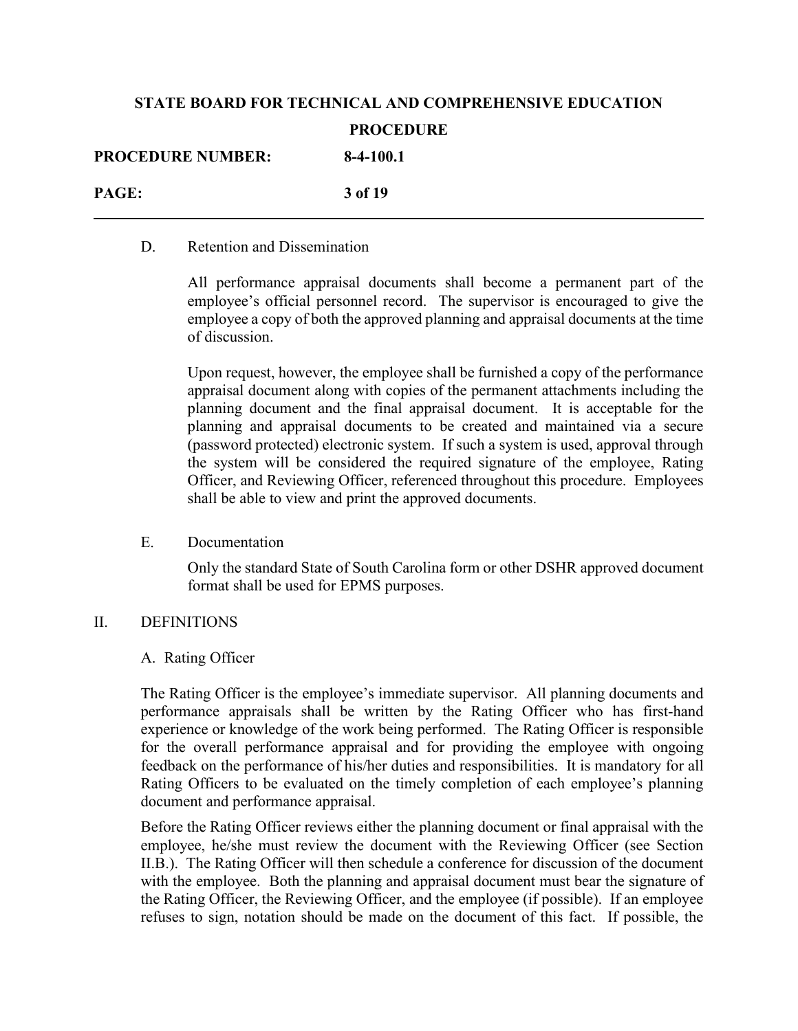| <b>PROCEDURE NUMBER:</b> | $8-4-100.1$ |
|--------------------------|-------------|
| PAGE:                    | 3 of 19     |

### D. Retention and Dissemination

All performance appraisal documents shall become a permanent part of the employee's official personnel record. The supervisor is encouraged to give the employee a copy of both the approved planning and appraisal documents at the time of discussion.

Upon request, however, the employee shall be furnished a copy of the performance appraisal document along with copies of the permanent attachments including the planning document and the final appraisal document. It is acceptable for the planning and appraisal documents to be created and maintained via a secure (password protected) electronic system. If such a system is used, approval through the system will be considered the required signature of the employee, Rating Officer, and Reviewing Officer, referenced throughout this procedure. Employees shall be able to view and print the approved documents.

#### E. Documentation

Only the standard State of South Carolina form or other DSHR approved document format shall be used for EPMS purposes.

### II. DEFINITIONS

#### A. Rating Officer

The Rating Officer is the employee's immediate supervisor. All planning documents and performance appraisals shall be written by the Rating Officer who has first-hand experience or knowledge of the work being performed. The Rating Officer is responsible for the overall performance appraisal and for providing the employee with ongoing feedback on the performance of his/her duties and responsibilities. It is mandatory for all Rating Officers to be evaluated on the timely completion of each employee's planning document and performance appraisal.

Before the Rating Officer reviews either the planning document or final appraisal with the employee, he/she must review the document with the Reviewing Officer (see Section II.B.). The Rating Officer will then schedule a conference for discussion of the document with the employee. Both the planning and appraisal document must bear the signature of the Rating Officer, the Reviewing Officer, and the employee (if possible). If an employee refuses to sign, notation should be made on the document of this fact. If possible, the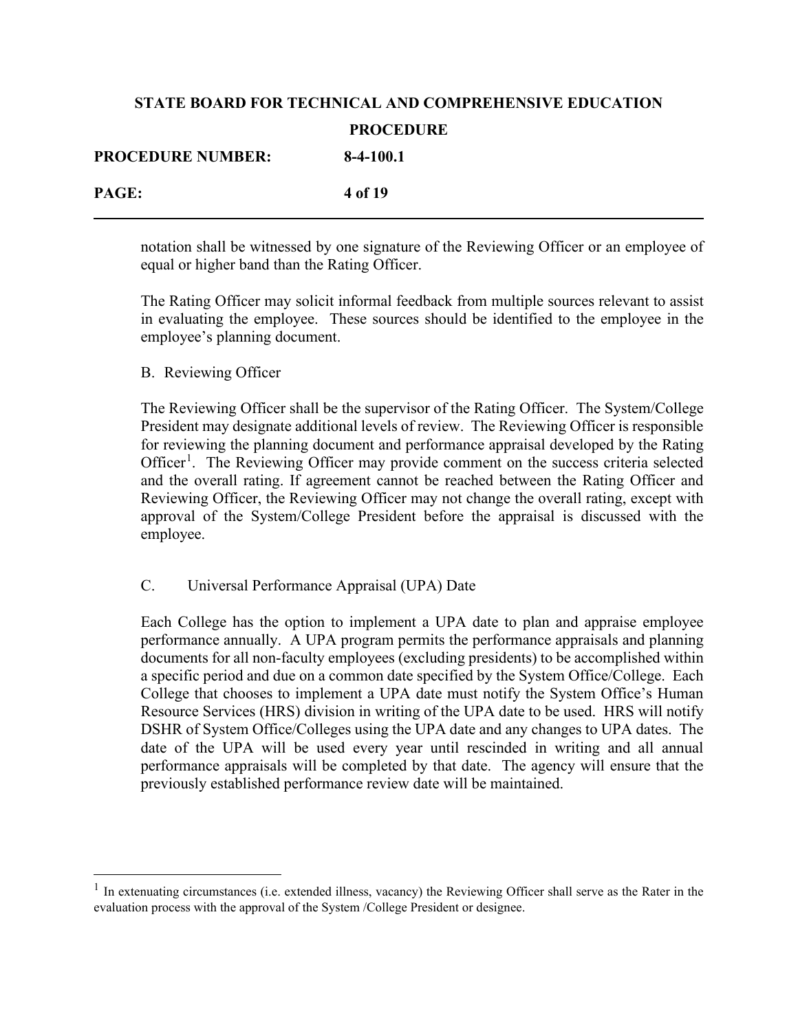| <b>PROCEDURE NUMBER:</b> | $8-4-100.1$ |
|--------------------------|-------------|
| <b>PAGE:</b>             | 4 of 19     |

notation shall be witnessed by one signature of the Reviewing Officer or an employee of equal or higher band than the Rating Officer.

The Rating Officer may solicit informal feedback from multiple sources relevant to assist in evaluating the employee. These sources should be identified to the employee in the employee's planning document.

### B. Reviewing Officer

The Reviewing Officer shall be the supervisor of the Rating Officer. The System/College President may designate additional levels of review. The Reviewing Officer is responsible for reviewing the planning document and performance appraisal developed by the Rating Officer<sup>[1](#page-3-0)</sup>. The Reviewing Officer may provide comment on the success criteria selected and the overall rating. If agreement cannot be reached between the Rating Officer and Reviewing Officer, the Reviewing Officer may not change the overall rating, except with approval of the System/College President before the appraisal is discussed with the employee.

### C. Universal Performance Appraisal (UPA) Date

Each College has the option to implement a UPA date to plan and appraise employee performance annually. A UPA program permits the performance appraisals and planning documents for all non-faculty employees (excluding presidents) to be accomplished within a specific period and due on a common date specified by the System Office/College. Each College that chooses to implement a UPA date must notify the System Office's Human Resource Services (HRS) division in writing of the UPA date to be used. HRS will notify DSHR of System Office/Colleges using the UPA date and any changes to UPA dates. The date of the UPA will be used every year until rescinded in writing and all annual performance appraisals will be completed by that date. The agency will ensure that the previously established performance review date will be maintained.

<span id="page-3-0"></span> $<sup>1</sup>$  In extenuating circumstances (i.e. extended illness, vacancy) the Reviewing Officer shall serve as the Rater in the</sup> evaluation process with the approval of the System /College President or designee.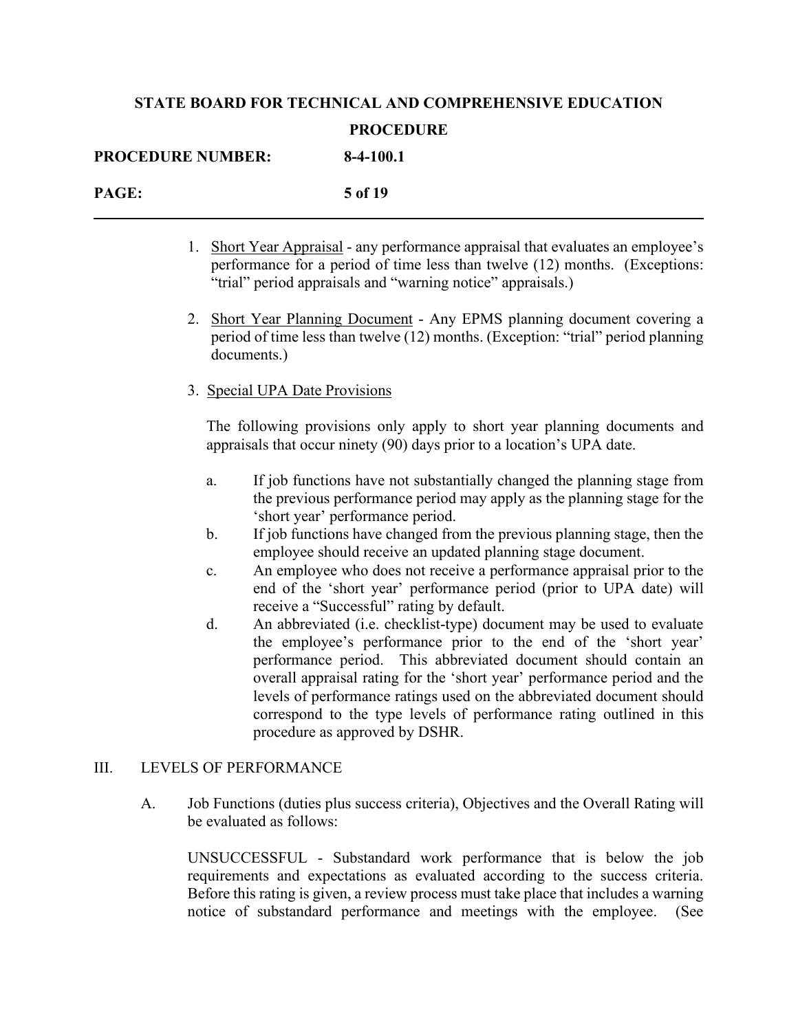| <b>PROCEDURE NUMBER:</b> | $8-4-100.1$ |
|--------------------------|-------------|
| PAGE:                    | 5 of 19     |

- 1. Short Year Appraisal any performance appraisal that evaluates an employee's performance for a period of time less than twelve (12) months. (Exceptions: "trial" period appraisals and "warning notice" appraisals.)
- 2. Short Year Planning Document Any EPMS planning document covering a period of time less than twelve (12) months. (Exception: "trial" period planning documents.)

### 3. Special UPA Date Provisions

The following provisions only apply to short year planning documents and appraisals that occur ninety (90) days prior to a location's UPA date.

- a. If job functions have not substantially changed the planning stage from the previous performance period may apply as the planning stage for the 'short year' performance period.
- b. If job functions have changed from the previous planning stage, then the employee should receive an updated planning stage document.
- c. An employee who does not receive a performance appraisal prior to the end of the 'short year' performance period (prior to UPA date) will receive a "Successful" rating by default.
- d. An abbreviated (i.e. checklist-type) document may be used to evaluate the employee's performance prior to the end of the 'short year' performance period. This abbreviated document should contain an overall appraisal rating for the 'short year' performance period and the levels of performance ratings used on the abbreviated document should correspond to the type levels of performance rating outlined in this procedure as approved by DSHR.

### III. LEVELS OF PERFORMANCE

A. Job Functions (duties plus success criteria), Objectives and the Overall Rating will be evaluated as follows:

UNSUCCESSFUL - Substandard work performance that is below the job requirements and expectations as evaluated according to the success criteria. Before this rating is given, a review process must take place that includes a warning notice of substandard performance and meetings with the employee. (See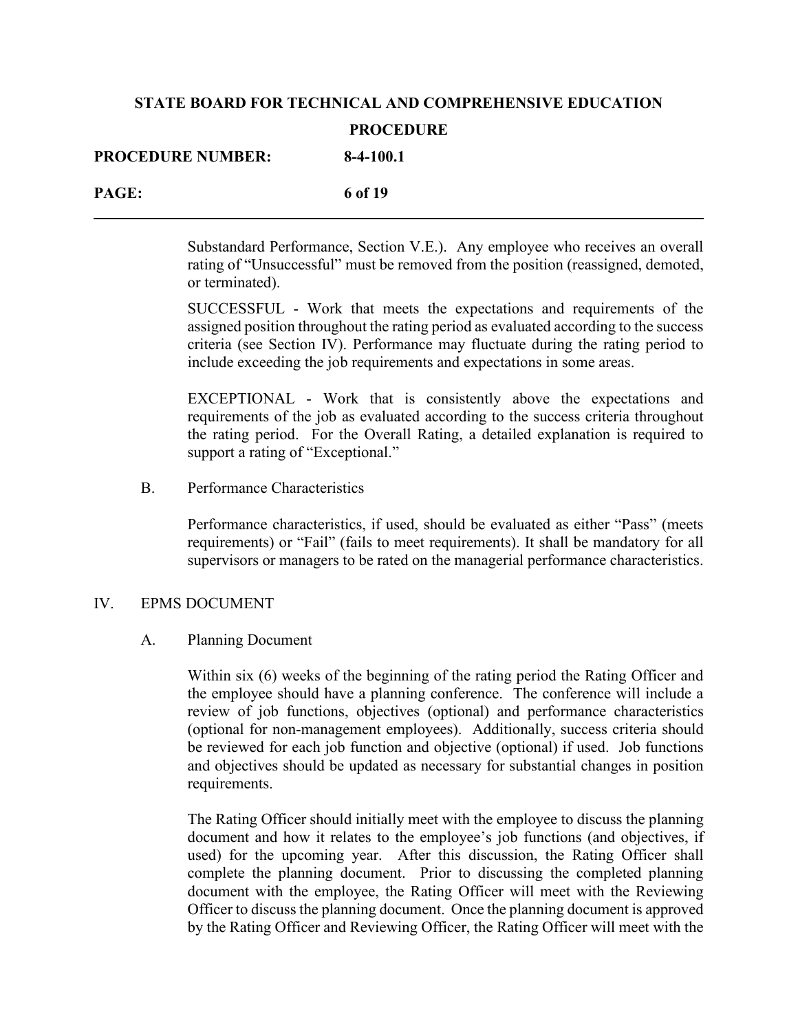| <b>PROCEDURE NUMBER:</b> | $8-4-100.1$ |
|--------------------------|-------------|
| <b>PAGE:</b>             | 6 of 19     |

Substandard Performance, Section V.E.). Any employee who receives an overall rating of "Unsuccessful" must be removed from the position (reassigned, demoted, or terminated).

SUCCESSFUL - Work that meets the expectations and requirements of the assigned position throughout the rating period as evaluated according to the success criteria (see Section IV). Performance may fluctuate during the rating period to include exceeding the job requirements and expectations in some areas.

EXCEPTIONAL - Work that is consistently above the expectations and requirements of the job as evaluated according to the success criteria throughout the rating period. For the Overall Rating, a detailed explanation is required to support a rating of "Exceptional."

B. Performance Characteristics

Performance characteristics, if used, should be evaluated as either "Pass" (meets requirements) or "Fail" (fails to meet requirements). It shall be mandatory for all supervisors or managers to be rated on the managerial performance characteristics.

### IV. EPMS DOCUMENT

#### A. Planning Document

Within six (6) weeks of the beginning of the rating period the Rating Officer and the employee should have a planning conference. The conference will include a review of job functions, objectives (optional) and performance characteristics (optional for non-management employees). Additionally, success criteria should be reviewed for each job function and objective (optional) if used. Job functions and objectives should be updated as necessary for substantial changes in position requirements.

The Rating Officer should initially meet with the employee to discuss the planning document and how it relates to the employee's job functions (and objectives, if used) for the upcoming year. After this discussion, the Rating Officer shall complete the planning document. Prior to discussing the completed planning document with the employee, the Rating Officer will meet with the Reviewing Officer to discuss the planning document. Once the planning document is approved by the Rating Officer and Reviewing Officer, the Rating Officer will meet with the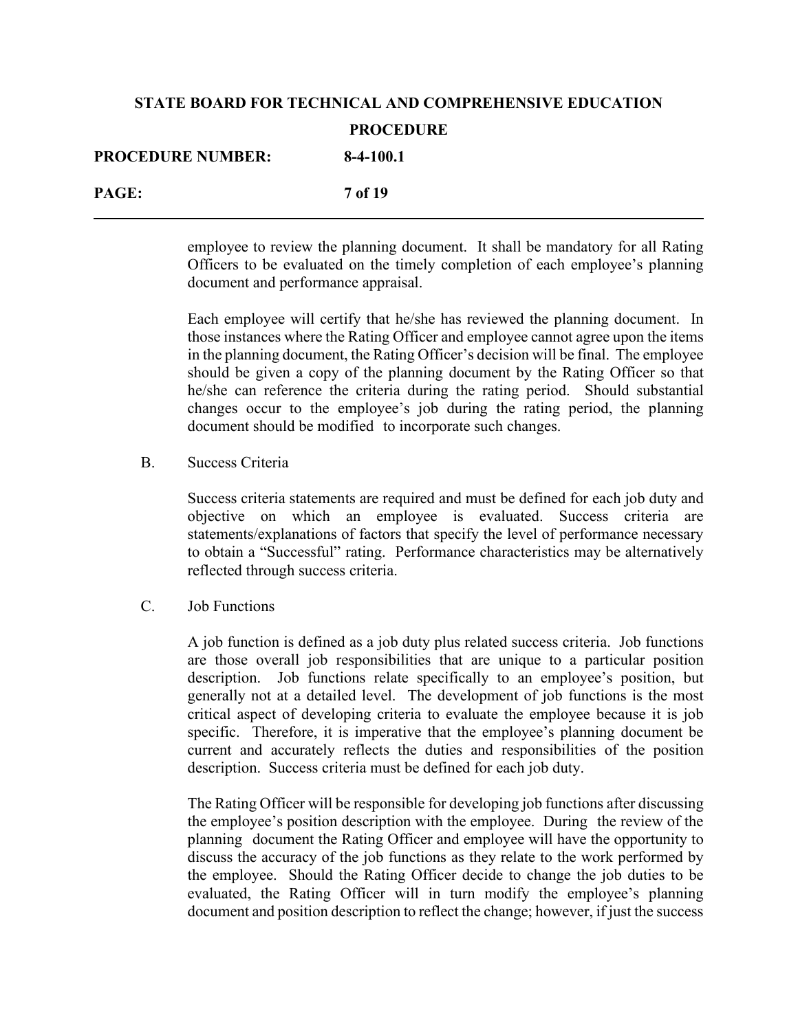| <b>PROCEDURE NUMBER:</b> | $8-4-100.1$    |
|--------------------------|----------------|
| <b>PAGE:</b>             | <b>7 of 19</b> |

employee to review the planning document. It shall be mandatory for all Rating Officers to be evaluated on the timely completion of each employee's planning document and performance appraisal.

Each employee will certify that he/she has reviewed the planning document. In those instances where the Rating Officer and employee cannot agree upon the items in the planning document, the Rating Officer's decision will be final. The employee should be given a copy of the planning document by the Rating Officer so that he/she can reference the criteria during the rating period. Should substantial changes occur to the employee's job during the rating period, the planning document should be modified to incorporate such changes.

B. Success Criteria

Success criteria statements are required and must be defined for each job duty and objective on which an employee is evaluated. Success criteria are statements/explanations of factors that specify the level of performance necessary to obtain a "Successful" rating. Performance characteristics may be alternatively reflected through success criteria.

C. Job Functions

A job function is defined as a job duty plus related success criteria. Job functions are those overall job responsibilities that are unique to a particular position description. Job functions relate specifically to an employee's position, but generally not at a detailed level. The development of job functions is the most critical aspect of developing criteria to evaluate the employee because it is job specific. Therefore, it is imperative that the employee's planning document be current and accurately reflects the duties and responsibilities of the position description. Success criteria must be defined for each job duty.

The Rating Officer will be responsible for developing job functions after discussing the employee's position description with the employee. During the review of the planning document the Rating Officer and employee will have the opportunity to discuss the accuracy of the job functions as they relate to the work performed by the employee. Should the Rating Officer decide to change the job duties to be evaluated, the Rating Officer will in turn modify the employee's planning document and position description to reflect the change; however, if just the success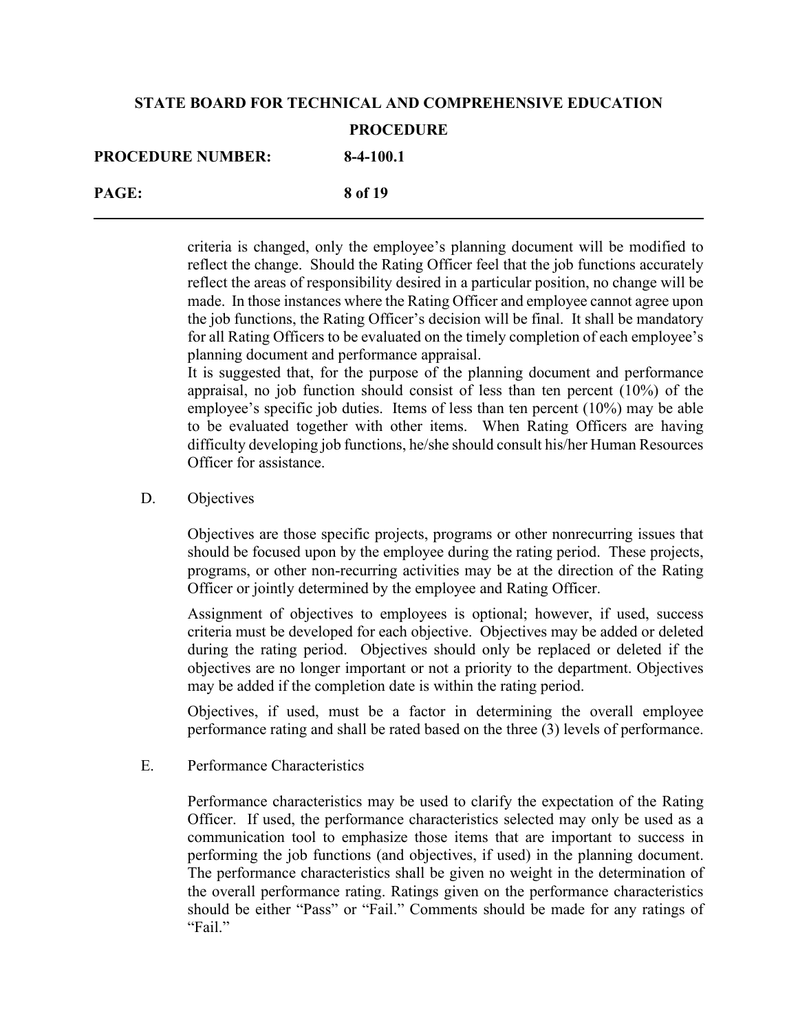| <b>PROCEDURE NUMBER:</b> | $8-4-100.1$ |
|--------------------------|-------------|
| <b>PAGE:</b>             | 8 of 19     |

criteria is changed, only the employee's planning document will be modified to reflect the change. Should the Rating Officer feel that the job functions accurately reflect the areas of responsibility desired in a particular position, no change will be made. In those instances where the Rating Officer and employee cannot agree upon the job functions, the Rating Officer's decision will be final. It shall be mandatory for all Rating Officers to be evaluated on the timely completion of each employee's planning document and performance appraisal.

It is suggested that, for the purpose of the planning document and performance appraisal, no job function should consist of less than ten percent (10%) of the employee's specific job duties. Items of less than ten percent (10%) may be able to be evaluated together with other items. When Rating Officers are having difficulty developing job functions, he/she should consult his/her Human Resources Officer for assistance.

### D. Objectives

Objectives are those specific projects, programs or other nonrecurring issues that should be focused upon by the employee during the rating period. These projects, programs, or other non-recurring activities may be at the direction of the Rating Officer or jointly determined by the employee and Rating Officer.

Assignment of objectives to employees is optional; however, if used, success criteria must be developed for each objective. Objectives may be added or deleted during the rating period. Objectives should only be replaced or deleted if the objectives are no longer important or not a priority to the department. Objectives may be added if the completion date is within the rating period.

Objectives, if used, must be a factor in determining the overall employee performance rating and shall be rated based on the three (3) levels of performance.

E. Performance Characteristics

Performance characteristics may be used to clarify the expectation of the Rating Officer. If used, the performance characteristics selected may only be used as a communication tool to emphasize those items that are important to success in performing the job functions (and objectives, if used) in the planning document. The performance characteristics shall be given no weight in the determination of the overall performance rating. Ratings given on the performance characteristics should be either "Pass" or "Fail." Comments should be made for any ratings of "Fail."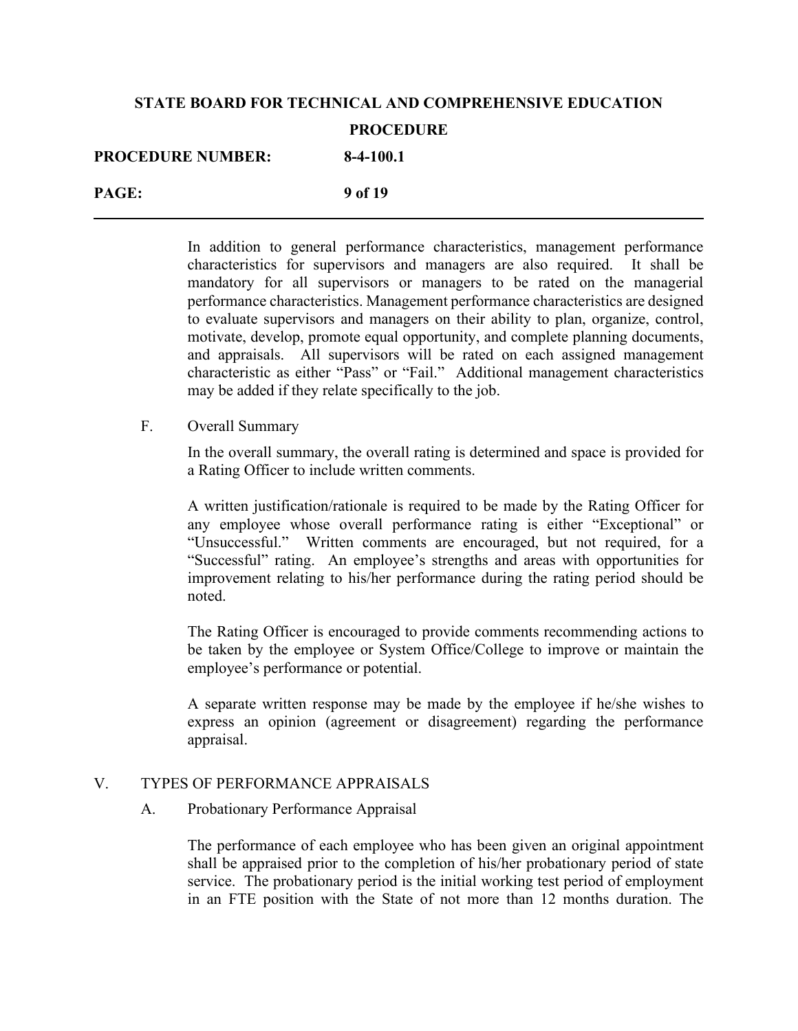| <b>PROCEDURE NUMBER:</b> | $8-4-100.1$ |
|--------------------------|-------------|
| PAGE:                    | 9 of 19     |

In addition to general performance characteristics, management performance characteristics for supervisors and managers are also required. It shall be mandatory for all supervisors or managers to be rated on the managerial performance characteristics. Management performance characteristics are designed to evaluate supervisors and managers on their ability to plan, organize, control, motivate, develop, promote equal opportunity, and complete planning documents, and appraisals. All supervisors will be rated on each assigned management characteristic as either "Pass" or "Fail." Additional management characteristics may be added if they relate specifically to the job.

F. Overall Summary

In the overall summary, the overall rating is determined and space is provided for a Rating Officer to include written comments.

A written justification/rationale is required to be made by the Rating Officer for any employee whose overall performance rating is either "Exceptional" or "Unsuccessful." Written comments are encouraged, but not required, for a "Successful" rating. An employee's strengths and areas with opportunities for improvement relating to his/her performance during the rating period should be noted.

The Rating Officer is encouraged to provide comments recommending actions to be taken by the employee or System Office/College to improve or maintain the employee's performance or potential.

A separate written response may be made by the employee if he/she wishes to express an opinion (agreement or disagreement) regarding the performance appraisal.

### V. TYPES OF PERFORMANCE APPRAISALS

### A. Probationary Performance Appraisal

The performance of each employee who has been given an original appointment shall be appraised prior to the completion of his/her probationary period of state service. The probationary period is the initial working test period of employment in an FTE position with the State of not more than 12 months duration. The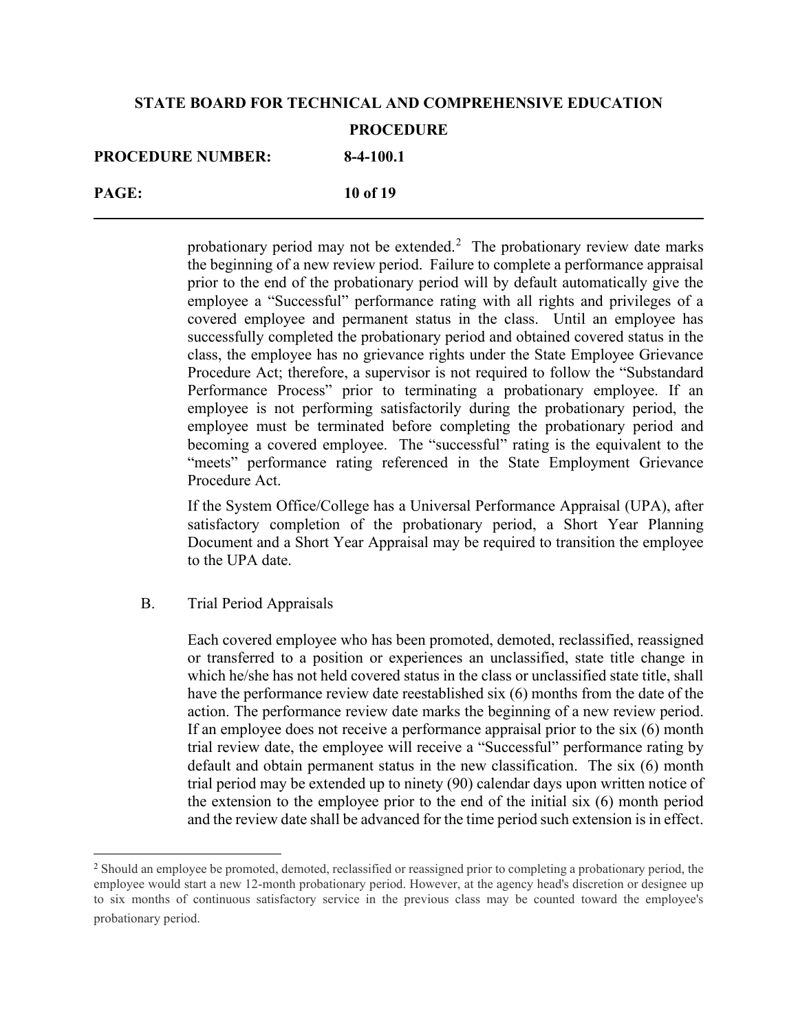## **STATE BOARD FOR TECHNICAL AND COMPREHENSIVE EDUCATION PROCEDURE PROCEDURE NUMBER: 8-4-100.1**

|              | $\mathbf{v}$ . The state |
|--------------|--------------------------|
| <b>PAGE:</b> | 10 of 19                 |

probationary period may not be extended.<sup>[2](#page-9-0)</sup> The probationary review date marks the beginning of a new review period. Failure to complete a performance appraisal prior to the end of the probationary period will by default automatically give the employee a "Successful" performance rating with all rights and privileges of a covered employee and permanent status in the class. Until an employee has successfully completed the probationary period and obtained covered status in the class, the employee has no grievance rights under the State Employee Grievance Procedure Act; therefore, a supervisor is not required to follow the "Substandard Performance Process" prior to terminating a probationary employee. If an employee is not performing satisfactorily during the probationary period, the employee must be terminated before completing the probationary period and becoming a covered employee. The "successful" rating is the equivalent to the "meets" performance rating referenced in the State Employment Grievance Procedure Act.

If the System Office/College has a Universal Performance Appraisal (UPA), after satisfactory completion of the probationary period, a Short Year Planning Document and a Short Year Appraisal may be required to transition the employee to the UPA date.

### B. Trial Period Appraisals

Each covered employee who has been promoted, demoted, reclassified, reassigned or transferred to a position or experiences an unclassified, state title change in which he/she has not held covered status in the class or unclassified state title, shall have the performance review date reestablished six (6) months from the date of the action. The performance review date marks the beginning of a new review period. If an employee does not receive a performance appraisal prior to the six (6) month trial review date, the employee will receive a "Successful" performance rating by default and obtain permanent status in the new classification. The six (6) month trial period may be extended up to ninety (90) calendar days upon written notice of the extension to the employee prior to the end of the initial six (6) month period and the review date shall be advanced for the time period such extension is in effect.

<span id="page-9-0"></span><sup>&</sup>lt;sup>2</sup> Should an employee be promoted, demoted, reclassified or reassigned prior to completing a probationary period, the employee would start a new 12-month probationary period. However, at the agency head's discretion or designee up to six months of continuous satisfactory service in the previous class may be counted toward the employee's probationary period.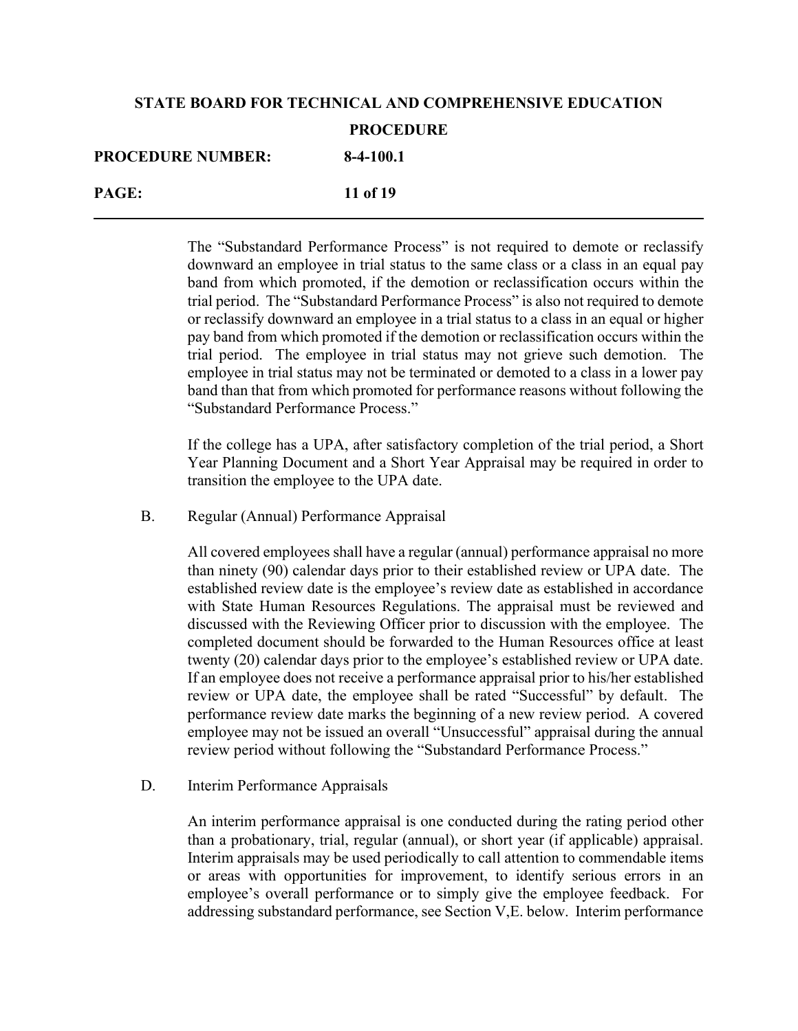# **STATE BOARD FOR TECHNICAL AND COMPREHENSIVE EDUCATION PROCEDURE PROCEDURE NUMBER: 8-4-100.1**

| PAGE: | 11 of 19 |
|-------|----------|

The "Substandard Performance Process" is not required to demote or reclassify downward an employee in trial status to the same class or a class in an equal pay band from which promoted, if the demotion or reclassification occurs within the trial period. The "Substandard Performance Process" is also not required to demote or reclassify downward an employee in a trial status to a class in an equal or higher pay band from which promoted if the demotion or reclassification occurs within the trial period. The employee in trial status may not grieve such demotion. The employee in trial status may not be terminated or demoted to a class in a lower pay band than that from which promoted for performance reasons without following the "Substandard Performance Process."

If the college has a UPA, after satisfactory completion of the trial period, a Short Year Planning Document and a Short Year Appraisal may be required in order to transition the employee to the UPA date.

B. Regular (Annual) Performance Appraisal

All covered employees shall have a regular (annual) performance appraisal no more than ninety (90) calendar days prior to their established review or UPA date. The established review date is the employee's review date as established in accordance with State Human Resources Regulations. The appraisal must be reviewed and discussed with the Reviewing Officer prior to discussion with the employee. The completed document should be forwarded to the Human Resources office at least twenty (20) calendar days prior to the employee's established review or UPA date. If an employee does not receive a performance appraisal prior to his/her established review or UPA date, the employee shall be rated "Successful" by default. The performance review date marks the beginning of a new review period. A covered employee may not be issued an overall "Unsuccessful" appraisal during the annual review period without following the "Substandard Performance Process."

D. Interim Performance Appraisals

An interim performance appraisal is one conducted during the rating period other than a probationary, trial, regular (annual), or short year (if applicable) appraisal. Interim appraisals may be used periodically to call attention to commendable items or areas with opportunities for improvement, to identify serious errors in an employee's overall performance or to simply give the employee feedback. For addressing substandard performance, see Section V,E. below. Interim performance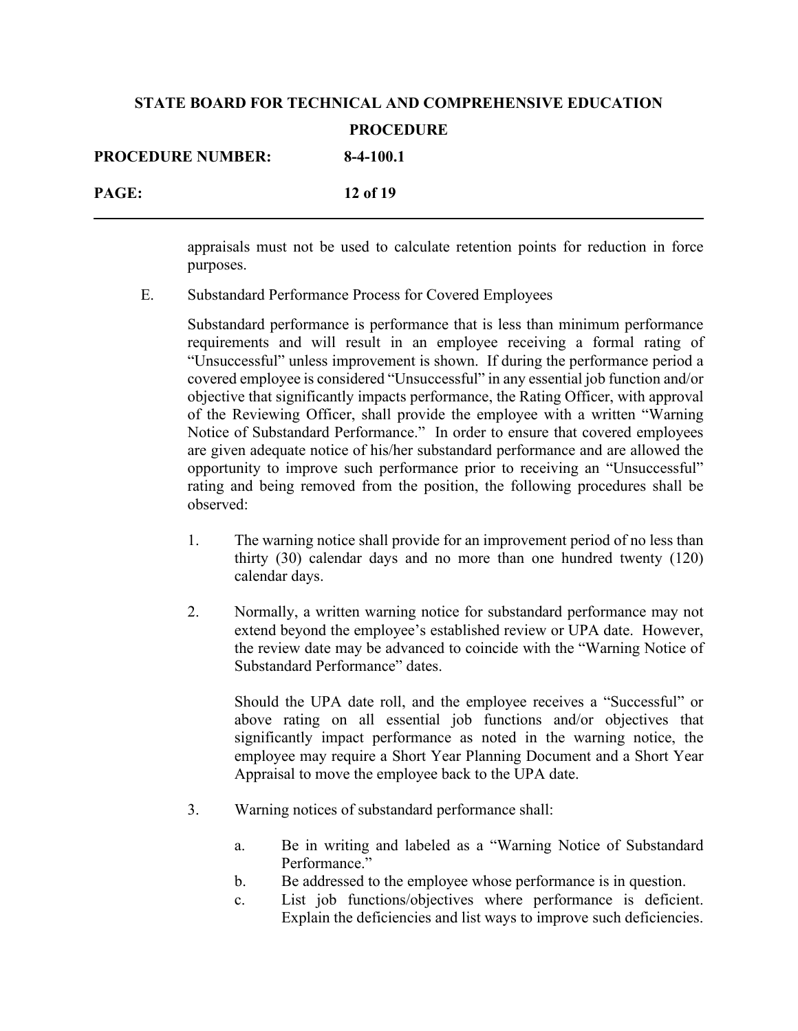| <b>PROCEDURE NUMBER:</b> | $8-4-100.1$ |
|--------------------------|-------------|
| PAGE:                    | 12 of 19    |

appraisals must not be used to calculate retention points for reduction in force purposes.

E. Substandard Performance Process for Covered Employees

Substandard performance is performance that is less than minimum performance requirements and will result in an employee receiving a formal rating of "Unsuccessful" unless improvement is shown. If during the performance period a covered employee is considered "Unsuccessful" in any essential job function and/or objective that significantly impacts performance, the Rating Officer, with approval of the Reviewing Officer, shall provide the employee with a written "Warning Notice of Substandard Performance." In order to ensure that covered employees are given adequate notice of his/her substandard performance and are allowed the opportunity to improve such performance prior to receiving an "Unsuccessful" rating and being removed from the position, the following procedures shall be observed:

- 1. The warning notice shall provide for an improvement period of no less than thirty (30) calendar days and no more than one hundred twenty (120) calendar days.
- 2. Normally, a written warning notice for substandard performance may not extend beyond the employee's established review or UPA date. However, the review date may be advanced to coincide with the "Warning Notice of Substandard Performance" dates.

Should the UPA date roll, and the employee receives a "Successful" or above rating on all essential job functions and/or objectives that significantly impact performance as noted in the warning notice, the employee may require a Short Year Planning Document and a Short Year Appraisal to move the employee back to the UPA date.

- 3. Warning notices of substandard performance shall:
	- a. Be in writing and labeled as a "Warning Notice of Substandard Performance."
	- b. Be addressed to the employee whose performance is in question.
	- c. List job functions/objectives where performance is deficient. Explain the deficiencies and list ways to improve such deficiencies.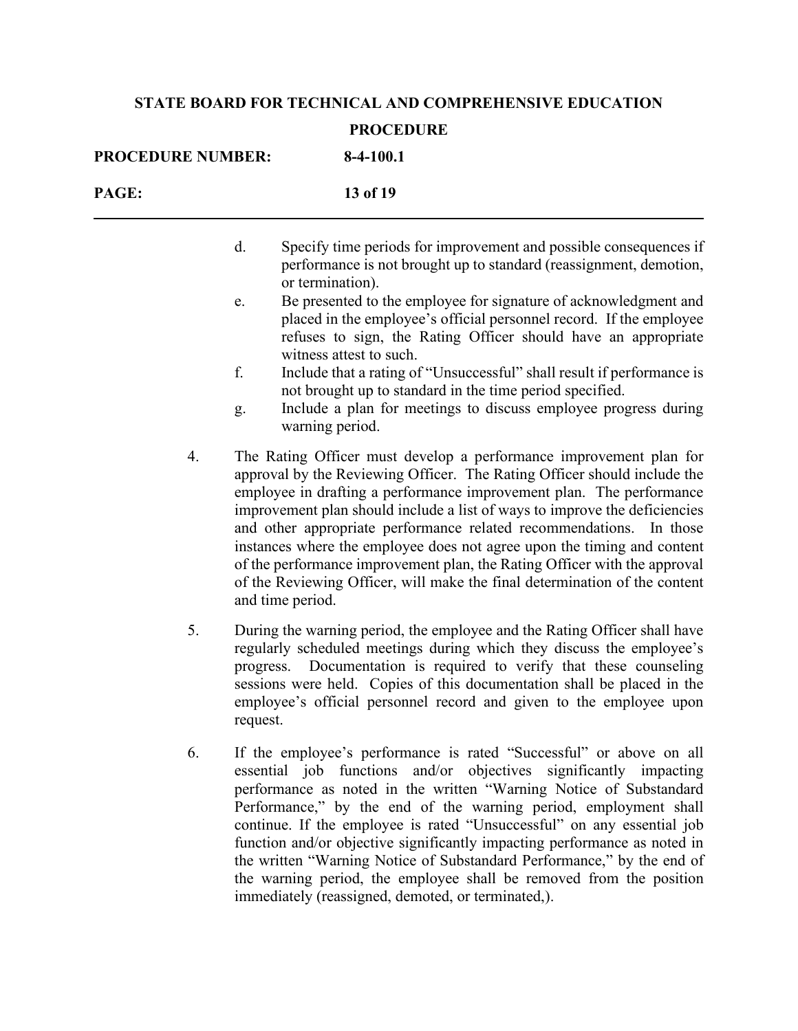| <b>PROCEDURE NUMBER:</b> | 8-4-100.1                                                                                                                                                                                                                                                                                                                                                                                                                                                                                                                                                                                                                             |
|--------------------------|---------------------------------------------------------------------------------------------------------------------------------------------------------------------------------------------------------------------------------------------------------------------------------------------------------------------------------------------------------------------------------------------------------------------------------------------------------------------------------------------------------------------------------------------------------------------------------------------------------------------------------------|
| PAGE:                    | 13 of 19                                                                                                                                                                                                                                                                                                                                                                                                                                                                                                                                                                                                                              |
| d.                       | Specify time periods for improvement and possible consequences if<br>performance is not brought up to standard (reassignment, demotion,<br>or termination).                                                                                                                                                                                                                                                                                                                                                                                                                                                                           |
| e.                       | Be presented to the employee for signature of acknowledgment and<br>placed in the employee's official personnel record. If the employee<br>refuses to sign, the Rating Officer should have an appropriate<br>witness attest to such.                                                                                                                                                                                                                                                                                                                                                                                                  |
| f.<br>g.                 | Include that a rating of "Unsuccessful" shall result if performance is<br>not brought up to standard in the time period specified.<br>Include a plan for meetings to discuss employee progress during<br>warning period.                                                                                                                                                                                                                                                                                                                                                                                                              |
| 4.                       | The Rating Officer must develop a performance improvement plan for<br>approval by the Reviewing Officer. The Rating Officer should include the<br>employee in drafting a performance improvement plan. The performance<br>improvement plan should include a list of ways to improve the deficiencies<br>and other appropriate performance related recommendations. In those<br>instances where the employee does not agree upon the timing and content<br>of the performance improvement plan, the Rating Officer with the approval<br>of the Reviewing Officer, will make the final determination of the content<br>and time period. |
| 5.                       | During the warning period, the employee and the Rating Officer shall have<br>regularly scheduled meetings during which they discuss the employee's<br>Documentation is required to verify that these counseling<br>progress.<br>sessions were held. Copies of this documentation shall be placed in the<br>employee's official personnel record and given to the employee upon<br>request.                                                                                                                                                                                                                                            |
| 6.                       | If the employee's performance is rated "Successful" or above on all<br>functions and/or objectives significantly impacting<br>essential job<br>performance as noted in the written "Warning Notice of Substandard                                                                                                                                                                                                                                                                                                                                                                                                                     |

Performance," by the end of the warning period, employment shall continue. If the employee is rated "Unsuccessful" on any essential job function and/or objective significantly impacting performance as noted in the written "Warning Notice of Substandard Performance," by the end of the warning period, the employee shall be removed from the position immediately (reassigned, demoted, or terminated,).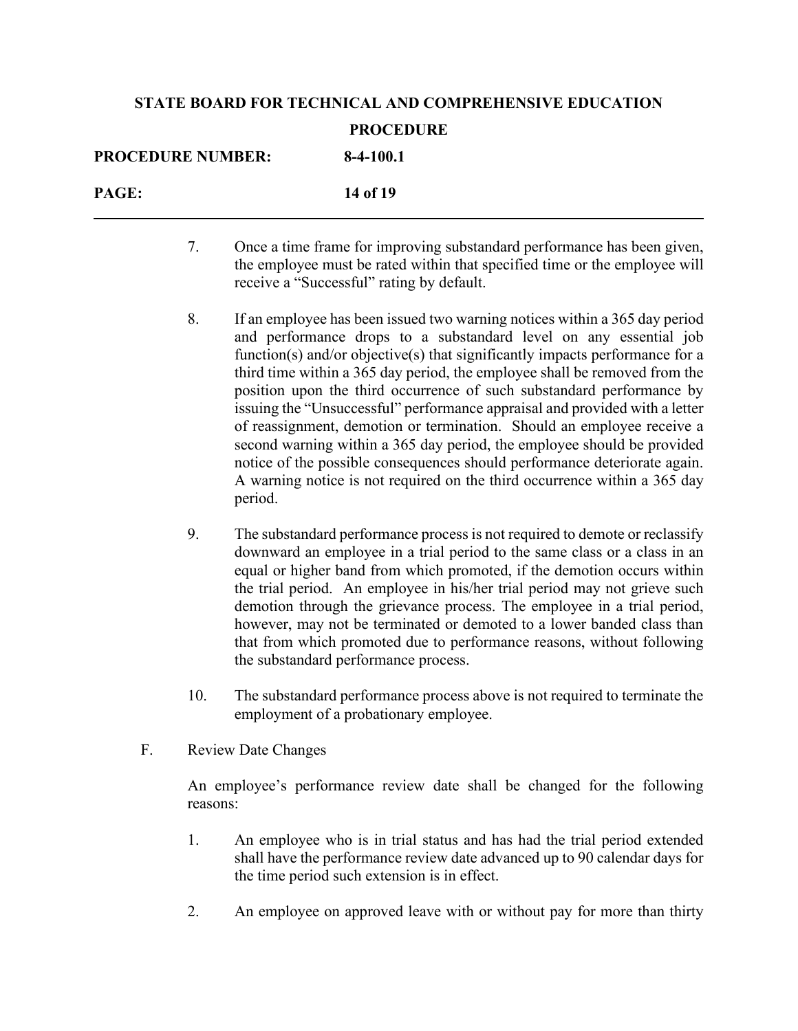| <b>PROCEDURE NUMBER:</b> | $8-4-100.1$ |
|--------------------------|-------------|
| PAGE:                    | 14 of 19    |

- 7. Once a time frame for improving substandard performance has been given, the employee must be rated within that specified time or the employee will receive a "Successful" rating by default.
- 8. If an employee has been issued two warning notices within a 365 day period and performance drops to a substandard level on any essential job function(s) and/or objective(s) that significantly impacts performance for a third time within a 365 day period, the employee shall be removed from the position upon the third occurrence of such substandard performance by issuing the "Unsuccessful" performance appraisal and provided with a letter of reassignment, demotion or termination. Should an employee receive a second warning within a 365 day period, the employee should be provided notice of the possible consequences should performance deteriorate again. A warning notice is not required on the third occurrence within a 365 day period.
- 9. The substandard performance process is not required to demote or reclassify downward an employee in a trial period to the same class or a class in an equal or higher band from which promoted, if the demotion occurs within the trial period. An employee in his/her trial period may not grieve such demotion through the grievance process. The employee in a trial period, however, may not be terminated or demoted to a lower banded class than that from which promoted due to performance reasons, without following the substandard performance process.
- 10. The substandard performance process above is not required to terminate the employment of a probationary employee.
- F. Review Date Changes

An employee's performance review date shall be changed for the following reasons:

- 1. An employee who is in trial status and has had the trial period extended shall have the performance review date advanced up to 90 calendar days for the time period such extension is in effect.
- 2. An employee on approved leave with or without pay for more than thirty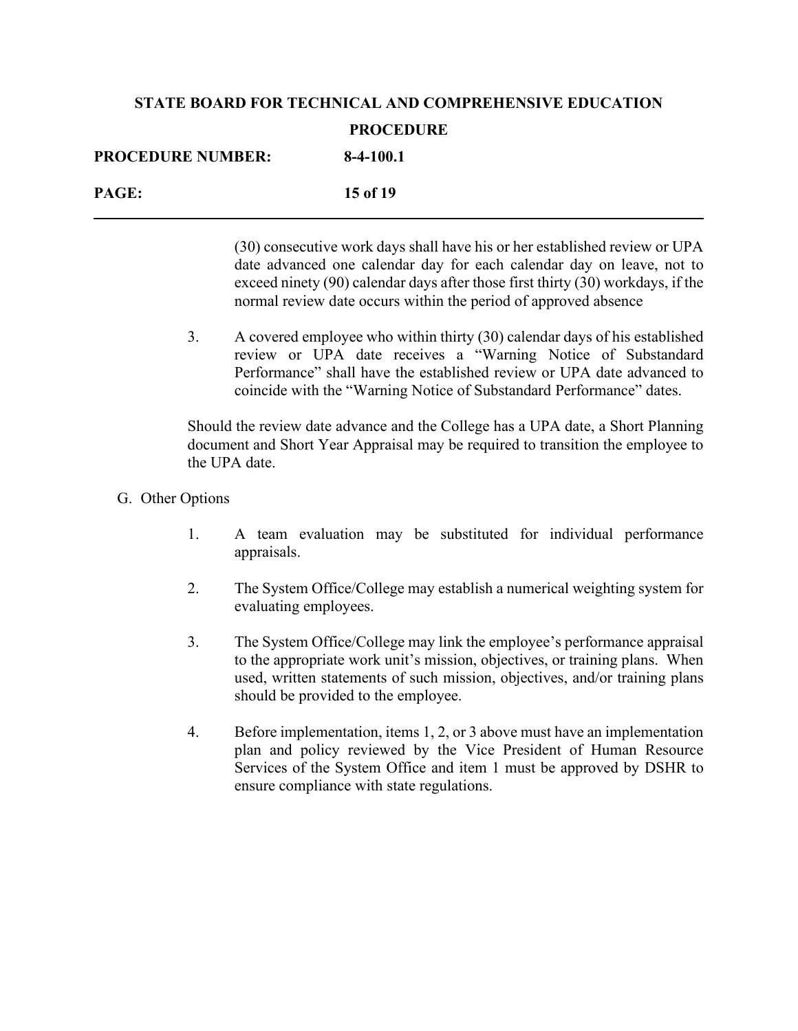| <b>PROCEDURE NUMBER:</b> | $8-4-100.1$ |
|--------------------------|-------------|
| PAGE:                    | 15 of 19    |

(30) consecutive work days shall have his or her established review or UPA date advanced one calendar day for each calendar day on leave, not to exceed ninety (90) calendar days after those first thirty (30) workdays, if the normal review date occurs within the period of approved absence

3. A covered employee who within thirty (30) calendar days of his established review or UPA date receives a "Warning Notice of Substandard Performance" shall have the established review or UPA date advanced to coincide with the "Warning Notice of Substandard Performance" dates.

Should the review date advance and the College has a UPA date, a Short Planning document and Short Year Appraisal may be required to transition the employee to the UPA date.

### G. Other Options

- 1. A team evaluation may be substituted for individual performance appraisals.
- 2. The System Office/College may establish a numerical weighting system for evaluating employees.
- 3. The System Office/College may link the employee's performance appraisal to the appropriate work unit's mission, objectives, or training plans. When used, written statements of such mission, objectives, and/or training plans should be provided to the employee.
- 4. Before implementation, items 1, 2, or 3 above must have an implementation plan and policy reviewed by the Vice President of Human Resource Services of the System Office and item 1 must be approved by DSHR to ensure compliance with state regulations.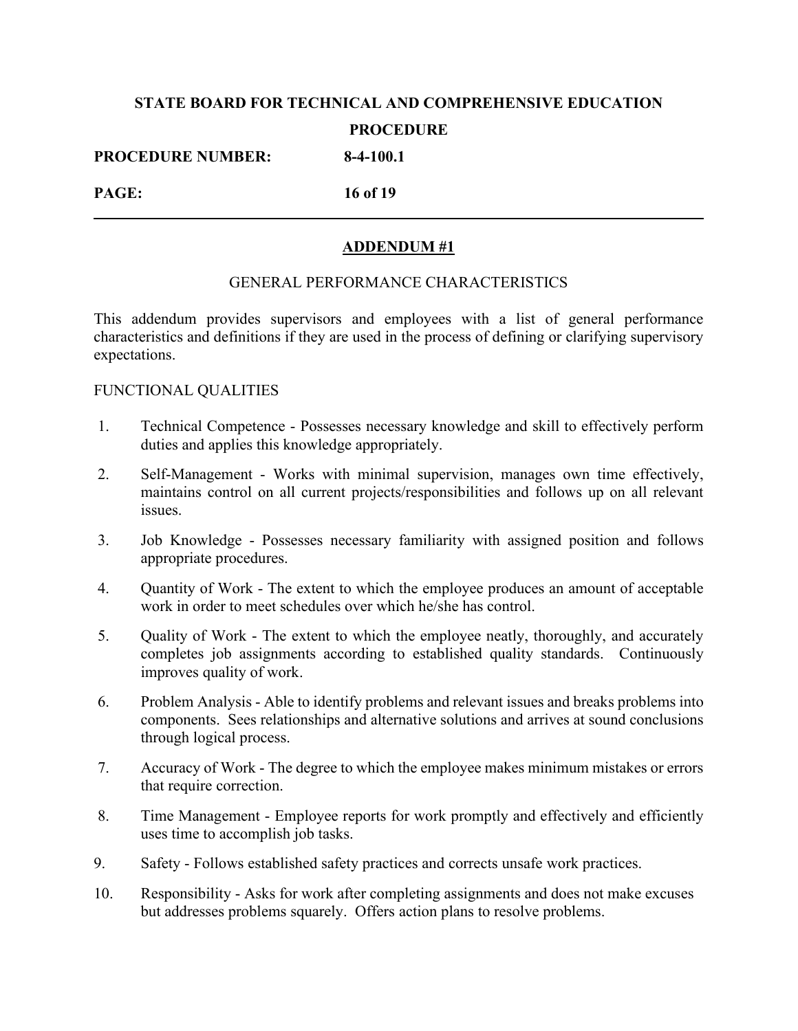**PROCEDURE NUMBER: 8-4-100.1**

**PAGE: 16 of 19**

### **ADDENDUM #1**

### GENERAL PERFORMANCE CHARACTERISTICS

This addendum provides supervisors and employees with a list of general performance characteristics and definitions if they are used in the process of defining or clarifying supervisory expectations.

### FUNCTIONAL QUALITIES

- 1. Technical Competence Possesses necessary knowledge and skill to effectively perform duties and applies this knowledge appropriately.
- 2. Self-Management Works with minimal supervision, manages own time effectively, maintains control on all current projects/responsibilities and follows up on all relevant issues.
- 3. Job Knowledge Possesses necessary familiarity with assigned position and follows appropriate procedures.
- 4. Quantity of Work The extent to which the employee produces an amount of acceptable work in order to meet schedules over which he/she has control.
- 5. Quality of Work The extent to which the employee neatly, thoroughly, and accurately completes job assignments according to established quality standards. Continuously improves quality of work.
- 6. Problem Analysis Able to identify problems and relevant issues and breaks problems into components. Sees relationships and alternative solutions and arrives at sound conclusions through logical process.
- 7. Accuracy of Work The degree to which the employee makes minimum mistakes or errors that require correction.
- 8. Time Management Employee reports for work promptly and effectively and efficiently uses time to accomplish job tasks.
- 9. Safety Follows established safety practices and corrects unsafe work practices.
- 10. Responsibility Asks for work after completing assignments and does not make excuses but addresses problems squarely. Offers action plans to resolve problems.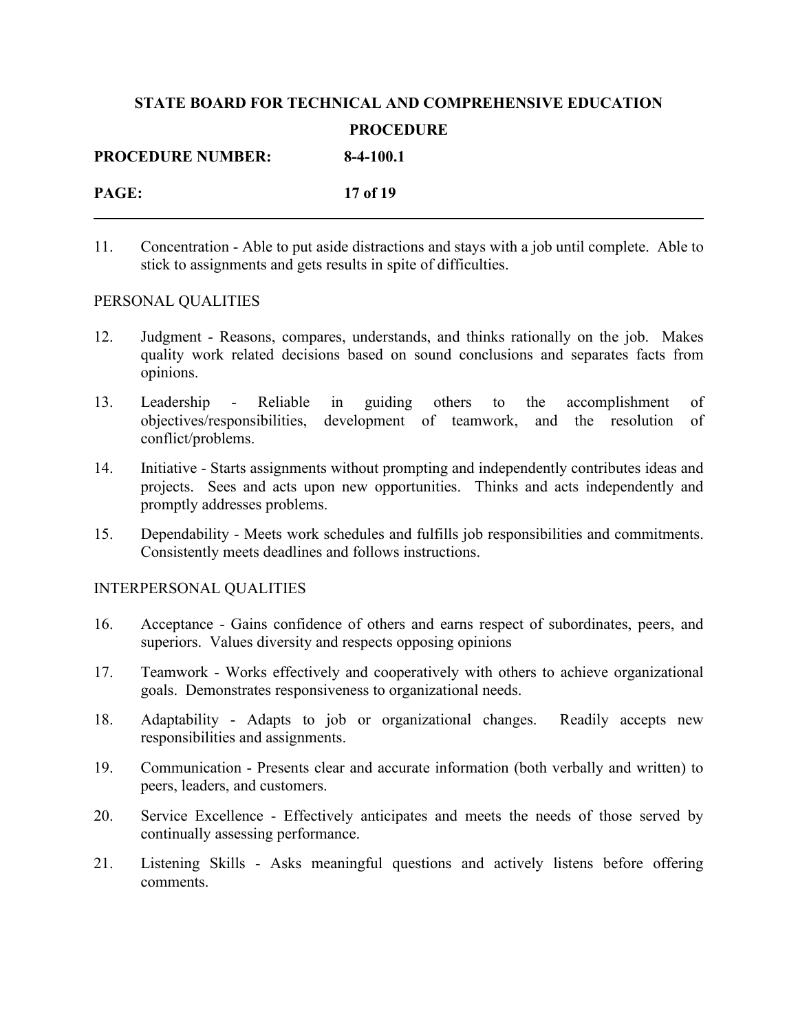| <b>PROCEDURE NUMBER:</b> | $8-4-100.1$ |
|--------------------------|-------------|
| <b>PAGE:</b>             | 17 of 19    |

11. Concentration - Able to put aside distractions and stays with a job until complete. Able to stick to assignments and gets results in spite of difficulties.

### PERSONAL QUALITIES

- 12. Judgment Reasons, compares, understands, and thinks rationally on the job. Makes quality work related decisions based on sound conclusions and separates facts from opinions.
- 13. Leadership Reliable in guiding others to the accomplishment of objectives/responsibilities, development of teamwork, and the resolution of conflict/problems.
- 14. Initiative Starts assignments without prompting and independently contributes ideas and projects. Sees and acts upon new opportunities. Thinks and acts independently and promptly addresses problems.
- 15. Dependability Meets work schedules and fulfills job responsibilities and commitments. Consistently meets deadlines and follows instructions.

### INTERPERSONAL QUALITIES

- 16. Acceptance Gains confidence of others and earns respect of subordinates, peers, and superiors. Values diversity and respects opposing opinions
- 17. Teamwork Works effectively and cooperatively with others to achieve organizational goals. Demonstrates responsiveness to organizational needs.
- 18. Adaptability Adapts to job or organizational changes. Readily accepts new responsibilities and assignments.
- 19. Communication Presents clear and accurate information (both verbally and written) to peers, leaders, and customers.
- 20. Service Excellence Effectively anticipates and meets the needs of those served by continually assessing performance.
- 21. Listening Skills Asks meaningful questions and actively listens before offering comments.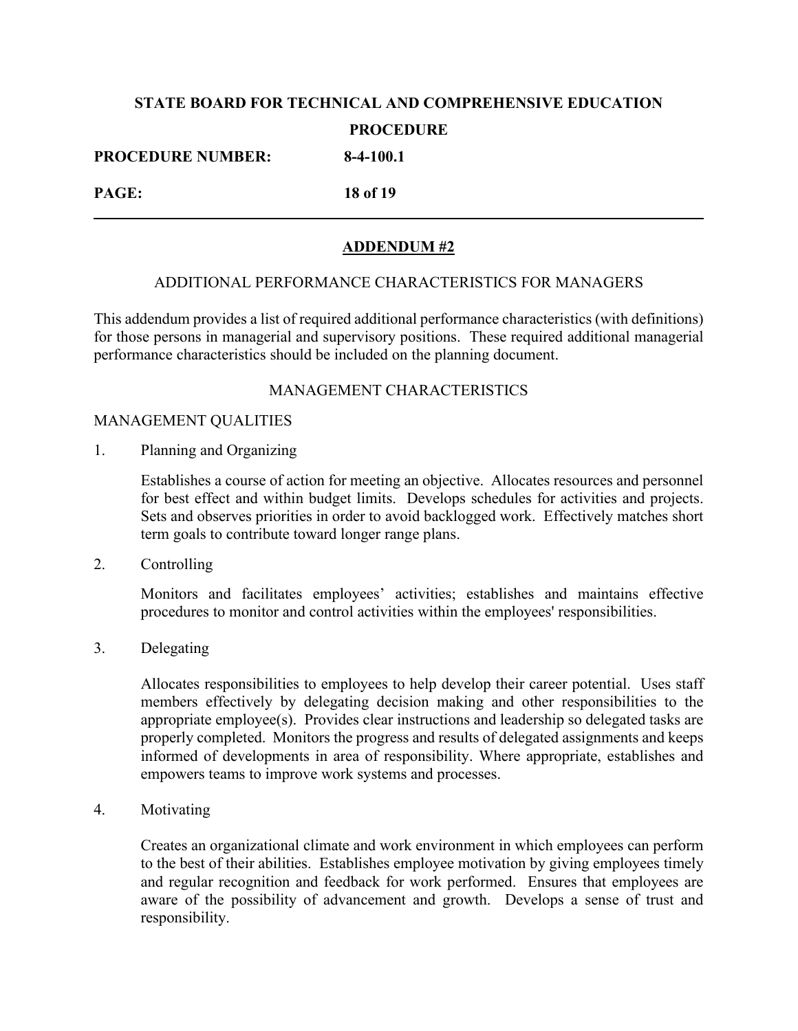**PROCEDURE NUMBER: 8-4-100.1**

**PAGE: 18 of 19**

### **ADDENDUM #2**

### ADDITIONAL PERFORMANCE CHARACTERISTICS FOR MANAGERS

This addendum provides a list of required additional performance characteristics (with definitions) for those persons in managerial and supervisory positions. These required additional managerial performance characteristics should be included on the planning document.

### MANAGEMENT CHARACTERISTICS

### MANAGEMENT QUALITIES

1. Planning and Organizing

Establishes a course of action for meeting an objective. Allocates resources and personnel for best effect and within budget limits. Develops schedules for activities and projects. Sets and observes priorities in order to avoid backlogged work. Effectively matches short term goals to contribute toward longer range plans.

2. Controlling

Monitors and facilitates employees' activities; establishes and maintains effective procedures to monitor and control activities within the employees' responsibilities.

3. Delegating

Allocates responsibilities to employees to help develop their career potential. Uses staff members effectively by delegating decision making and other responsibilities to the appropriate employee(s). Provides clear instructions and leadership so delegated tasks are properly completed. Monitors the progress and results of delegated assignments and keeps informed of developments in area of responsibility. Where appropriate, establishes and empowers teams to improve work systems and processes.

4. Motivating

Creates an organizational climate and work environment in which employees can perform to the best of their abilities. Establishes employee motivation by giving employees timely and regular recognition and feedback for work performed. Ensures that employees are aware of the possibility of advancement and growth. Develops a sense of trust and responsibility.